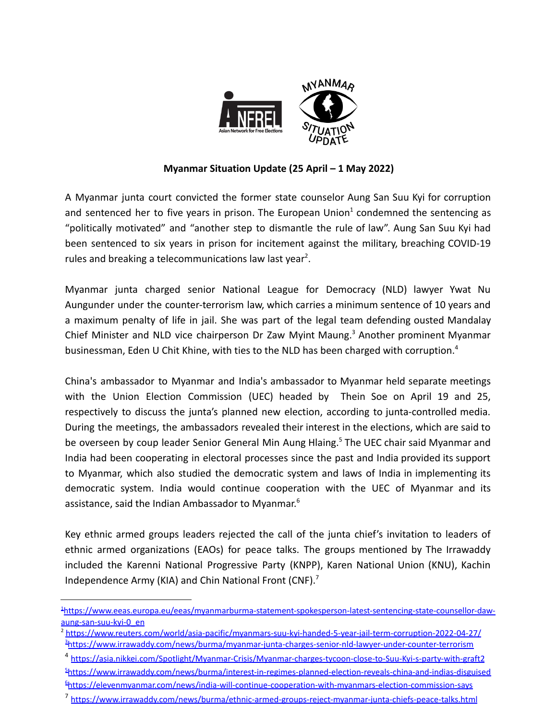

## **Myanmar Situation Update (25 April – 1 May 2022)**

A Myanmar junta court convicted the former state counselor Aung San Suu Kyi for corruption and sentenced her to five years in prison. The European Union<sup>1</sup> condemned the sentencing as "politically motivated" and "another step to dismantle the rule of law". Aung San Suu Kyi had been sentenced to six years in prison for incitement against the military, breaching COVID-19 rules and breaking a telecommunications law last year<sup>2</sup>.

Myanmar junta charged senior National League for Democracy (NLD) lawyer Ywat Nu Aungunder under the counter-terrorism law, which carries a minimum sentence of 10 years and a maximum penalty of life in jail. She was part of the legal team defending ousted Mandalay Chief Minister and NLD vice chairperson Dr Zaw Myint Maung.<sup>3</sup> Another prominent Myanmar businessman, Eden U Chit Khine, with ties to the NLD has been charged with corruption.<sup>4</sup>

China's ambassador to Myanmar and India's ambassador to Myanmar held separate meetings with the Union Election Commission (UEC) headed by Thein Soe on April 19 and 25, respectively to discuss the junta's planned new election, according to junta-controlled media. During the meetings, the ambassadors revealed their interest in the elections, which are said to be overseen by coup leader Senior General Min Aung Hlaing.<sup>5</sup> The UEC chair said Myanmar and India had been cooperating in electoral processes since the past and India provided its support to Myanmar, which also studied the democratic system and laws of India in implementing its democratic system. India would continue cooperation with the UEC of Myanmar and its assistance, said the Indian Ambassador to Myanmar. 6

Key ethnic armed groups leaders rejected the call of the junta chief's invitation to leaders of ethnic armed organizations (EAOs) for peace talks. The groups mentioned by The Irrawaddy included the Karenni National Progressive Party (KNPP), Karen National Union (KNU), Kachin Independence Army (KIA) and Chin National Front (CNF).<sup>7</sup>

<sup>1</sup>[https://www.eeas.europa.eu/eeas/myanmarburma-statement-spokesperson-latest-sentencing-state-counsellor-daw](https://www.eeas.europa.eu/eeas/myanmarburma-statement-spokesperson-latest-sentencing-state-counsellor-daw-aung-san-suu-kyi-0_en)[aung-san-suu-kyi-0\\_en](https://www.eeas.europa.eu/eeas/myanmarburma-statement-spokesperson-latest-sentencing-state-counsellor-daw-aung-san-suu-kyi-0_en)

<sup>3</sup>[https://www.irrawaddy.com/news/burma/myanmar-junta-charges-senior-nld-lawyer-under-counter-terrorism](https://www.irrawaddy.com/news/burma/myanmar-junta-charges-senior-nld-lawyer-under-counter-terrorism-law.html) <sup>2</sup> <https://www.reuters.com/world/asia-pacific/myanmars-suu-kyi-handed-5-year-jail-term-corruption-2022-04-27/>

<sup>6</sup>[https://elevenmyanmar.com/news/india-will-continue-cooperation-with-myanmars-election-commission-says](https://elevenmyanmar.com/news/india-will-continue-cooperation-with-myanmars-election-commission-says-ambassador) <sup>5</sup>[https://www.irrawaddy.com/news/burma/interest-in-regimes-planned-election-reveals-china-and-indias-disguised](https://www.irrawaddy.com/news/burma/interest-in-regimes-planned-election-reveals-china-and-indias-disguised-support-for-myanmar-junta.html) <sup>4</sup> <https://asia.nikkei.com/Spotlight/Myanmar-Crisis/Myanmar-charges-tycoon-close-to-Suu-Kyi-s-party-with-graft2>

<sup>7</sup> <https://www.irrawaddy.com/news/burma/ethnic-armed-groups-reject-myanmar-junta-chiefs-peace-talks.html>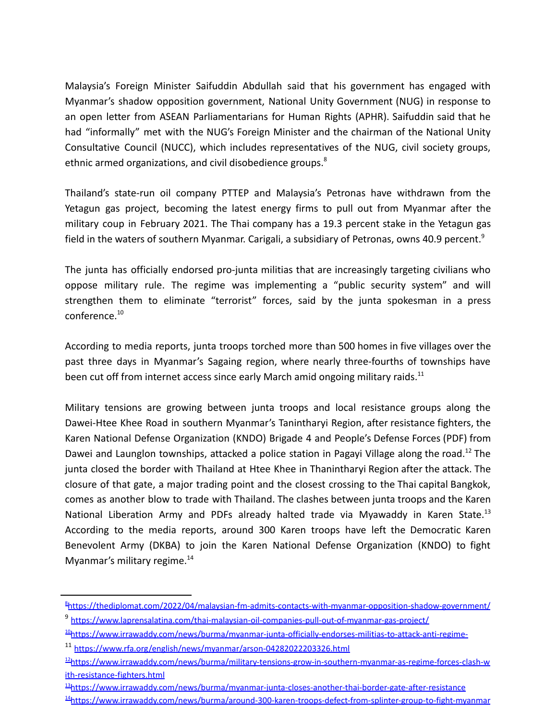Malaysia's Foreign Minister Saifuddin Abdullah said that his government has engaged with Myanmar's shadow opposition government, National Unity Government (NUG) in response to an open letter from ASEAN Parliamentarians for Human Rights (APHR). Saifuddin said that he had "informally" met with the NUG's Foreign Minister and the chairman of the National Unity Consultative Council (NUCC), which includes representatives of the NUG, civil society groups, ethnic armed organizations, and civil disobedience groups.<sup>8</sup>

Thailand's state-run oil company PTTEP and Malaysia's Petronas have withdrawn from the Yetagun gas project, becoming the latest energy firms to pull out from Myanmar after the military coup in February 2021. The Thai company has a 19.3 percent stake in the Yetagun gas field in the waters of southern Myanmar. Carigali, a subsidiary of Petronas, owns 40.9 percent.<sup>9</sup>

The junta has officially endorsed pro-junta militias that are increasingly targeting civilians who oppose military rule. The regime was implementing a "public security system" and will strengthen them to eliminate "terrorist" forces, said by the junta spokesman in a press conference.<sup>10</sup>

According to media reports, junta troops torched more than 500 homes in five villages over the past three days in Myanmar's Sagaing region, where nearly three-fourths of townships have been cut off from internet access since early March amid ongoing military raids.<sup>11</sup>

Military tensions are growing between junta troops and local resistance groups along the Dawei-Htee Khee Road in southern Myanmar's Tanintharyi Region, after resistance fighters, the Karen National Defense Organization (KNDO) Brigade 4 and People's Defense Forces (PDF) from Dawei and Launglon townships, attacked a police station in Pagayi Village along the road.<sup>12</sup> The junta closed the border with Thailand at Htee Khee in Thanintharyi Region after the attack. The closure of that gate, a major trading point and the closest crossing to the Thai capital Bangkok, comes as another blow to trade with Thailand. The clashes between junta troops and the Karen National Liberation Army and PDFs already halted trade via Myawaddy in Karen State.<sup>13</sup> According to the media reports, around 300 Karen troops have left the Democratic Karen Benevolent Army (DKBA) to join the Karen National Defense Organization (KNDO) to fight Myanmar's military regime. $14$ 

<sup>13</sup>[https://www.irrawaddy.com/news/burma/myanmar-junta-closes-another-thai-border-gate-after-resistance](https://www.irrawaddy.com/news/burma/myanmar-junta-closes-another-thai-border-gate-after-resistance-attack.html)

<sup>9</sup> <https://www.laprensalatina.com/thai-malaysian-oil-companies-pull-out-of-myanmar-gas-project/> <sup>8</sup><https://thediplomat.com/2022/04/malaysian-fm-admits-contacts-with-myanmar-opposition-shadow-government/>

<sup>&</sup>lt;sup>10</sup>[https://www.irrawaddy.com/news/burma/myanmar-junta-officially-endorses-militias-to-attack-anti-regime-](https://www.irrawaddy.com/news/burma/myanmar-junta-officially-endorses-militias-to-attack-anti-regime-civilians.html)

<sup>11</sup> <https://www.rfa.org/english/news/myanmar/arson-04282022203326.html>

<sup>&</sup>lt;sup>12</sup>[https://www.irrawaddy.com/news/burma/military-tensions-grow-in-southern-myanmar-as-regime-forces-clash-w](https://www.irrawaddy.com/news/burma/military-tensions-grow-in-southern-myanmar-as-regime-forces-clash-with-resistance-fighters.html) [ith-resistance-fighters.html](https://www.irrawaddy.com/news/burma/military-tensions-grow-in-southern-myanmar-as-regime-forces-clash-with-resistance-fighters.html)

<sup>14</sup>[https://www.irrawaddy.com/news/burma/around-300-karen-troops-defect-from-splinter-group-to-fight-myanmar](https://www.irrawaddy.com/news/burma/around-300-karen-troops-defect-from-splinter-group-to-fight-myanmar-regime.html)